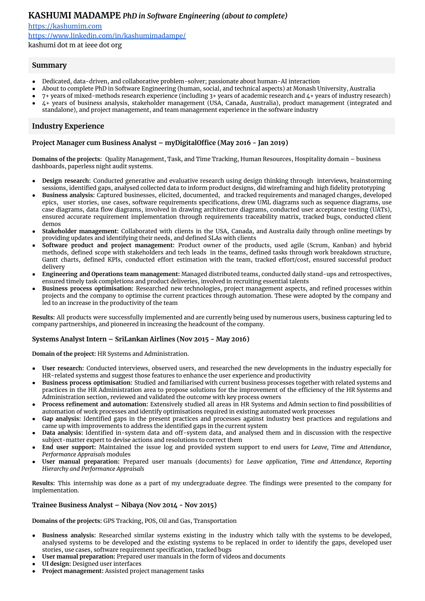# **KASHUMI MADAMPE** *PhD in Software Engineering (about to complete)*

<https://kashumim.com> <https://www.linkedin.com/in/kashumimadampe/> kashumi dot m at ieee dot org

# **Summary**

- Dedicated, data-driven, and collaborative problem-solver; passionate about human-AI interaction
- About to complete PhD in Software Engineering (human, social, and technical aspects) at Monash University, Australia
- $7+$  years of mixed-methods research experience (including  $3+$  years of academic research and  $4+$  years of industry research)
- 4+ years of business analysis, stakeholder management (USA, Canada, Australia), product management (integrated and standalone), and project management, and team management experience in the software industry

# **Industry Experience**

# **Project Manager cum Business Analyst – myDigitalOffice (May 2016 - Jan 2019)**

**Domains of the projects:** Quality Management, Task, and Time Tracking, Human Resources, Hospitality domain – business dashboards, paperless night audit systems.

- **Design research:** Conducted generative and evaluative research using design thinking through interviews, brainstorming sessions, identified gaps, analysed collected data to inform product designs, did wireframing and high fidelity prototyping
- **Business analysis:** Captured businesses, elicited, documented, and tracked requirements and managed changes, developed epics, user stories, use cases, software requirements specifications, drew UML diagrams such as sequence diagrams, use case diagrams, data flow diagrams, involved in drawing architecture diagrams, conducted user acceptance testing (UATs), ensured accurate requirement implementation through requirements traceability matrix, tracked bugs, conducted client demos
- **Stakeholder management:** Collaborated with clients in the USA, Canada, and Australia daily through online meetings by providing updates and identifying their needs, and defined SLAs with clients
- **Software product and project management:** Product owner of the products, used agile (Scrum, Kanban) and hybrid methods, defined scope with stakeholders and tech leads in the teams, defined tasks through work breakdown structure, Gantt charts, defined KPIs, conducted effort estimation with the team, tracked effort/cost, ensured successful product delivery
- **Engineering and Operations team management:** Managed distributed teams, conducted daily stand-ups and retrospectives, ensured timely task completions and product deliveries, involved in recruiting essential talents
- **Business process optimisation:** Researched new technologies, project management aspects, and refined processes within projects and the company to optimise the current practices through automation. These were adopted by the company and led to an increase in the productivity of the team

**Results:** All products were successfully implemented and are currently being used by numerous users, business capturing led to company partnerships, and pioneered in increasing the headcount of the company.

# **Systems Analyst Intern – SriLankan Airlines (Nov 2015 - May 2016)**

**Domain of the project:** HR Systems and Administration.

- User research: Conducted interviews, observed users, and researched the new developments in the industry especially for HR-related systems and suggest those features to enhance the user experience and productivity
- **Business process optimisation:** Studied and familiarised with current business processes together with related systems and practices in the HR Administration area to propose solutions for the improvement of the efficiency of the HR Systems and Administration section, reviewed and validated the outcome with key process owners
- **Process refinement and automation:** Extensively studied all areas in HR Systems and Admin section to find possibilities of automation of work processes and identify optimisations required in existing automated work processes
- **Gap analysis:** Identified gaps in the present practices and processes against industry best practices and regulations and came up with improvements to address the identified gaps in the current system
- **Data analysis:** Identified in-system data and off-system data, and analysed them and in discussion with the respective subject-matter expert to devise actions and resolutions to correct them
- **End user support:** Maintained the issue log and provided system support to end users for *Leave, Time and Attendance, Performance Appraisals* modules
- **User manual preparation:** Prepared user manuals (documents) for *Leave application, Time and Attendance, Reporting Hierarchy and Performance Appraisals*

**Results:** This internship was done as a part of my undergraduate degree. The findings were presented to the company for implementation.

# **Trainee Business Analyst – Nibaya (Nov 2014 - Nov 2015)**

**Domains of the projects:** GPS Tracking, POS, Oil and Gas, Transportation

- **Business analysis:** Researched similar systems existing in the industry which tally with the systems to be developed, analysed systems to be developed and the existing systems to be replaced in order to identify the gaps, developed user stories, use cases, software requirement specification, tracked bugs
- **User manual preparation:** Prepared user manuals in the form of videos and documents
- **UI design:** Designed user interfaces
- **Project management:** Assisted project management tasks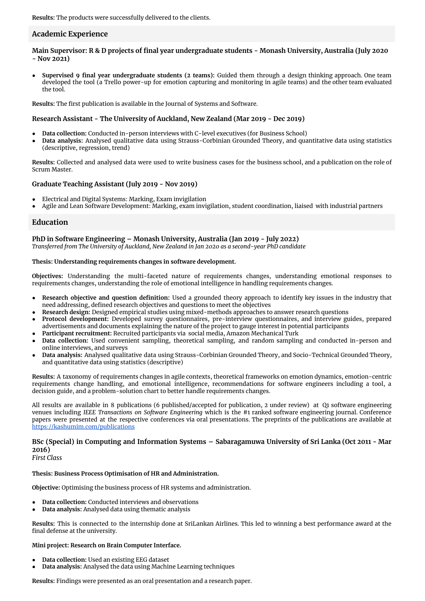# **Academic Experience**

Main Supervisor: R & D projects of final year undergraduate students - Monash University, Australia (July 2020 **- Nov 2021)**

● **Supervised 9 final year undergraduate students (2 teams):** Guided them through a design thinking approach. One team developed the tool (a Trello power-up for emotion capturing and monitoring in agile teams) and the other team evaluated the tool.

**Results:** The first publication is available in the Journal of Systems and Software.

#### **Research Assistant - The University of Auckland, New Zealand (Mar 2019 - Dec 2019)**

- **Data collection:** Conducted in-person interviews with C-level executives (for Business School)
- **Data analysis:** Analysed qualitative data using Strauss-Corbinian Grounded Theory, and quantitative data using statistics (descriptive, regression, trend)

**Results:** Collected and analysed data were used to write business cases for the business school, and a publication on the role of Scrum Master.

#### **Graduate Teaching Assistant (July 2019 - Nov 2019)**

- Electrical and Digital Systems: Marking, Exam invigilation
- Agile and Lean Software Development: Marking, exam invigilation, student coordination, liaised with industrial partners

#### **Education**

# **PhD in Software Engineering – Monash University, Australia (Jan 2019 - July 2022)**

*Transferred from The University of Auckland, New Zealand in Jan 2020 as a second-year PhD candidate*

#### **Thesis: Understanding requirements changes in software development.**

**Objectives:** Understanding the multi-faceted nature of requirements changes, understanding emotional responses to requirements changes, understanding the role of emotional intelligence in handling requirements changes.

- **Research objective and question definition:** Used a grounded theory approach to identify key issues in the industry that need addressing, defined research objectives and questions to meet the objectives
- **Research design:** Designed empirical studies using mixed-methods approaches to answer research questions
- Protocol development: Developed survey questionnaires, pre-interview questionnaires, and interview guides, prepared advertisements and documents explaining the nature of the project to gauge interest in potential participants
- **Participant recruitment:** Recruited participants via social media, Amazon Mechanical Turk
- Data collection: Used convenient sampling, theoretical sampling, and random sampling and conducted in-person and online interviews, and surveys
- **Data analysis:** Analysed qualitative data using Strauss-Corbinian Grounded Theory, and Socio-Technical Grounded Theory, and quantitative data using statistics (descriptive)

**Results:** A taxonomy of requirements changes in agile contexts, theoretical frameworks on emotion dynamics, emotion-centric requirements change handling, and emotional intelligence, recommendations for software engineers including a tool, a decision guide, and a problem-solution chart to better handle requirements changes.

All results are available in 8 publications (6 published/accepted for publication, 2 under review) at Q1 software engineering venues including *IEEE Transactions on Software Engineering* which is the #1 ranked software engineering journal. Conference papers were presented at the respective conferences via oral presentations. The preprints of the publications are available at <https://kashumim.com/publications>

# **BSc (Special) in Computing and Information Systems – Sabaragamuwa University of Sri Lanka (Oct 2011 - Mar 2016)**

*First Class*

#### **Thesis: Business Process Optimisation of HR and Administration.**

**Objective:** Optimising the business process of HR systems and administration.

- **Data collection:** Conducted interviews and observations
- **Data analysis:** Analysed data using thematic analysis

**Results:** This is connected to the internship done at SriLankan Airlines. This led to winning a best performance award at the final defense at the university.

**Mini project: Research on Brain Computer Interface.**

- **Data collection:** Used an existing EEG dataset
- **Data analysis:** Analysed the data using Machine Learning techniques

**Results:** Findings were presented as an oral presentation and a research paper.